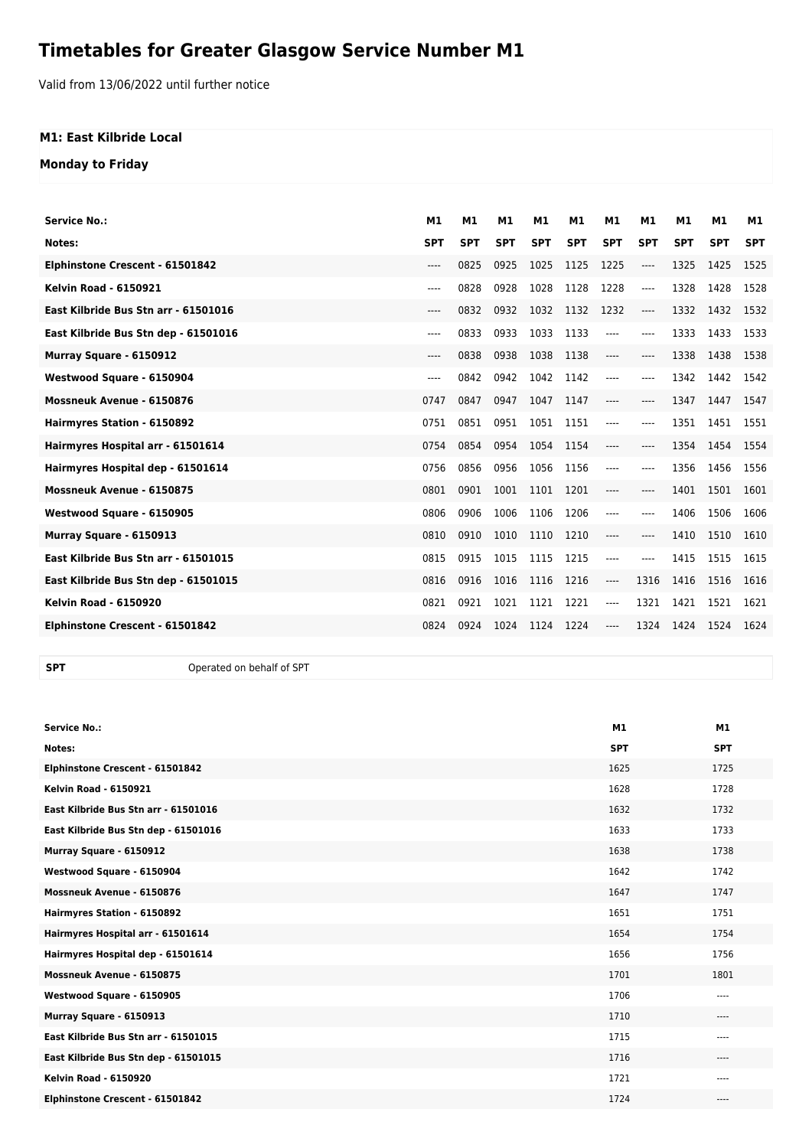## **Timetables for Greater Glasgow Service Number M1**

Valid from 13/06/2022 until further notice

## **M1: East Kilbride Local**

**Monday to Friday**

| <b>Service No.:</b>                  | M1         | M1         | M1         | M1         | M1         | M1         | M1         | M1         | M1         | <b>M1</b>  |
|--------------------------------------|------------|------------|------------|------------|------------|------------|------------|------------|------------|------------|
| Notes:                               | <b>SPT</b> | <b>SPT</b> | <b>SPT</b> | <b>SPT</b> | <b>SPT</b> | <b>SPT</b> | <b>SPT</b> | <b>SPT</b> | <b>SPT</b> | <b>SPT</b> |
| Elphinstone Crescent - 61501842      | $---$      | 0825       | 0925       | 1025       | 1125       | 1225       | $---$      | 1325       | 1425       | 1525       |
| <b>Kelvin Road - 6150921</b>         | $---$      | 0828       | 0928       | 1028       | 1128       | 1228       | ----       | 1328       | 1428       | 1528       |
| East Kilbride Bus Stn arr - 61501016 | $---$      | 0832       | 0932       | 1032       | 1132       | 1232       | ----       | 1332       | 1432       | 1532       |
| East Kilbride Bus Stn dep - 61501016 | $---$      | 0833       | 0933       | 1033       | 1133       | $---$      | ----       | 1333       | 1433       | 1533       |
| Murray Square - 6150912              | $---$      | 0838       | 0938       | 1038       | 1138       | $---$      | $---$      | 1338       | 1438       | 1538       |
| Westwood Square - 6150904            | $---$      | 0842       | 0942       | 1042       | 1142       | $---$      | $---$      | 1342       | 1442       | 1542       |
| <b>Mossneuk Avenue - 6150876</b>     | 0747       | 0847       | 0947       | 1047       | 1147       | $---$      | $---$      | 1347       | 1447       | 1547       |
| Hairmyres Station - 6150892          | 0751       | 0851       | 0951       | 1051       | 1151       | $---$      | ----       | 1351       | 1451       | 1551       |
| Hairmyres Hospital arr - 61501614    | 0754       | 0854       | 0954       | 1054       | 1154       | $---$      | $---$      | 1354       | 1454       | 1554       |
| Hairmyres Hospital dep - 61501614    | 0756       | 0856       | 0956       | 1056       | 1156       | $---$      | $---$      | 1356       | 1456       | 1556       |
| Mossneuk Avenue - 6150875            | 0801       | 0901       | 1001       | 1101       | 1201       | ----       | $---$      | 1401       | 1501       | 1601       |
| Westwood Square - 6150905            | 0806       | 0906       | 1006       | 1106       | 1206       | $---$      | ----       | 1406       | 1506       | 1606       |
| Murray Square - 6150913              | 0810       | 0910       | 1010       | 1110       | 1210       | $---$      | ----       | 1410       | 1510       | 1610       |
| East Kilbride Bus Stn arr - 61501015 | 0815       | 0915       | 1015       | 1115       | 1215       | $---$      | $---$      | 1415       | 1515       | 1615       |
| East Kilbride Bus Stn dep - 61501015 | 0816       | 0916       | 1016       | 1116       | 1216       | $---$      | 1316       | 1416       | 1516       | 1616       |
| <b>Kelvin Road - 6150920</b>         | 0821       | 0921       | 1021       | 1121       | 1221       | $---$      | 1321       | 1421       | 1521       | 1621       |
| Elphinstone Crescent - 61501842      | 0824       | 0924       | 1024       | 1124       | 1224       | $---$      | 1324       | 1424       | 1524       | 1624       |
|                                      |            |            |            |            |            |            |            |            |            |            |

**SPT** Operated on behalf of SPT

| <b>Service No.:</b>                  | M1         | M1         |
|--------------------------------------|------------|------------|
| Notes:                               | <b>SPT</b> | <b>SPT</b> |
| Elphinstone Crescent - 61501842      | 1625       | 1725       |
| <b>Kelvin Road - 6150921</b>         | 1628       | 1728       |
| East Kilbride Bus Stn arr - 61501016 | 1632       | 1732       |
| East Kilbride Bus Stn dep - 61501016 | 1633       | 1733       |
| Murray Square - 6150912              | 1638       | 1738       |
| Westwood Square - 6150904            | 1642       | 1742       |
| Mossneuk Avenue - 6150876            | 1647       | 1747       |
| Hairmyres Station - 6150892          | 1651       | 1751       |
| Hairmyres Hospital arr - 61501614    | 1654       | 1754       |
| Hairmyres Hospital dep - 61501614    | 1656       | 1756       |
| Mossneuk Avenue - 6150875            | 1701       | 1801       |
| Westwood Square - 6150905            | 1706       | $---$      |
| Murray Square - 6150913              | 1710       | $\cdots$   |
| East Kilbride Bus Stn arr - 61501015 | 1715       | $---$      |
| East Kilbride Bus Stn dep - 61501015 | 1716       | $---$      |
| <b>Kelvin Road - 6150920</b>         | 1721       | $- - - -$  |
| Elphinstone Crescent - 61501842      | 1724       | $---$      |